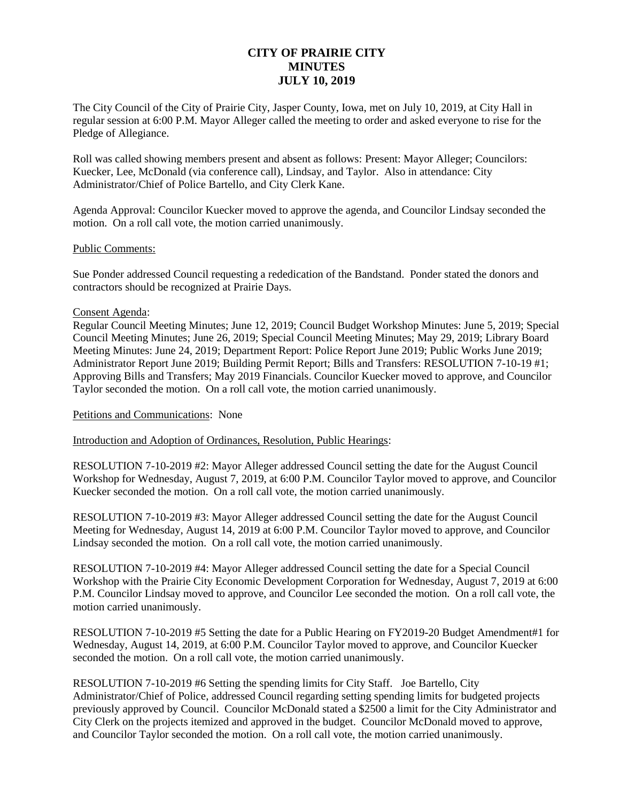# **CITY OF PRAIRIE CITY MINUTES JULY 10, 2019**

The City Council of the City of Prairie City, Jasper County, Iowa, met on July 10, 2019, at City Hall in regular session at 6:00 P.M. Mayor Alleger called the meeting to order and asked everyone to rise for the Pledge of Allegiance.

Roll was called showing members present and absent as follows: Present: Mayor Alleger; Councilors: Kuecker, Lee, McDonald (via conference call), Lindsay, and Taylor. Also in attendance: City Administrator/Chief of Police Bartello, and City Clerk Kane.

Agenda Approval: Councilor Kuecker moved to approve the agenda, and Councilor Lindsay seconded the motion. On a roll call vote, the motion carried unanimously.

#### Public Comments:

Sue Ponder addressed Council requesting a rededication of the Bandstand. Ponder stated the donors and contractors should be recognized at Prairie Days.

#### Consent Agenda:

Regular Council Meeting Minutes; June 12, 2019; Council Budget Workshop Minutes: June 5, 2019; Special Council Meeting Minutes; June 26, 2019; Special Council Meeting Minutes; May 29, 2019; Library Board Meeting Minutes: June 24, 2019; Department Report: Police Report June 2019; Public Works June 2019; Administrator Report June 2019; Building Permit Report; Bills and Transfers: RESOLUTION 7-10-19 #1; Approving Bills and Transfers; May 2019 Financials. Councilor Kuecker moved to approve, and Councilor Taylor seconded the motion. On a roll call vote, the motion carried unanimously.

## Petitions and Communications: None

Introduction and Adoption of Ordinances, Resolution, Public Hearings:

RESOLUTION 7-10-2019 #2: Mayor Alleger addressed Council setting the date for the August Council Workshop for Wednesday, August 7, 2019, at 6:00 P.M. Councilor Taylor moved to approve, and Councilor Kuecker seconded the motion. On a roll call vote, the motion carried unanimously.

RESOLUTION 7-10-2019 #3: Mayor Alleger addressed Council setting the date for the August Council Meeting for Wednesday, August 14, 2019 at 6:00 P.M. Councilor Taylor moved to approve, and Councilor Lindsay seconded the motion. On a roll call vote, the motion carried unanimously.

RESOLUTION 7-10-2019 #4: Mayor Alleger addressed Council setting the date for a Special Council Workshop with the Prairie City Economic Development Corporation for Wednesday, August 7, 2019 at 6:00 P.M. Councilor Lindsay moved to approve, and Councilor Lee seconded the motion. On a roll call vote, the motion carried unanimously.

RESOLUTION 7-10-2019 #5 Setting the date for a Public Hearing on FY2019-20 Budget Amendment#1 for Wednesday, August 14, 2019, at 6:00 P.M. Councilor Taylor moved to approve, and Councilor Kuecker seconded the motion. On a roll call vote, the motion carried unanimously.

RESOLUTION 7-10-2019 #6 Setting the spending limits for City Staff. Joe Bartello, City Administrator/Chief of Police, addressed Council regarding setting spending limits for budgeted projects previously approved by Council. Councilor McDonald stated a \$2500 a limit for the City Administrator and City Clerk on the projects itemized and approved in the budget. Councilor McDonald moved to approve, and Councilor Taylor seconded the motion. On a roll call vote, the motion carried unanimously.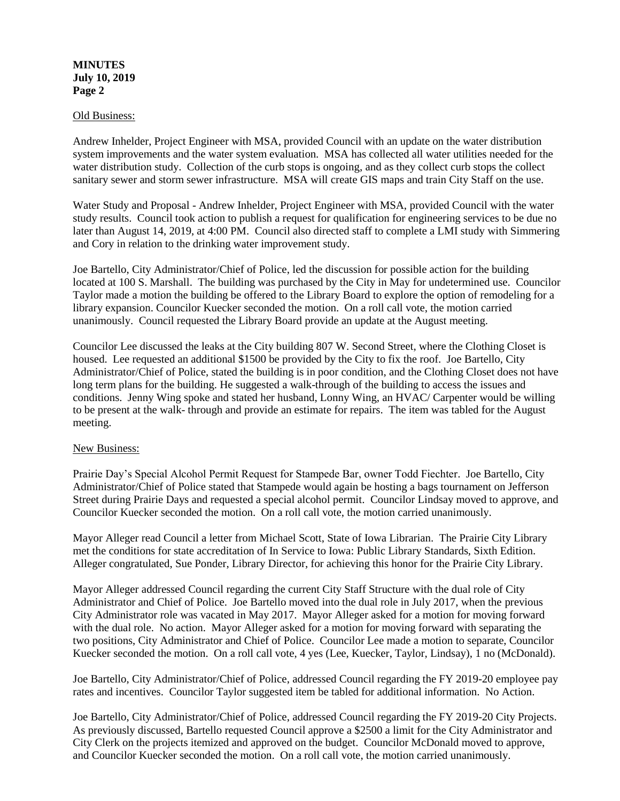## **MINUTES July 10, 2019 Page 2**

#### Old Business:

Andrew Inhelder, Project Engineer with MSA, provided Council with an update on the water distribution system improvements and the water system evaluation. MSA has collected all water utilities needed for the water distribution study. Collection of the curb stops is ongoing, and as they collect curb stops the collect sanitary sewer and storm sewer infrastructure. MSA will create GIS maps and train City Staff on the use.

Water Study and Proposal - Andrew Inhelder, Project Engineer with MSA, provided Council with the water study results. Council took action to publish a request for qualification for engineering services to be due no later than August 14, 2019, at 4:00 PM. Council also directed staff to complete a LMI study with Simmering and Cory in relation to the drinking water improvement study.

Joe Bartello, City Administrator/Chief of Police, led the discussion for possible action for the building located at 100 S. Marshall. The building was purchased by the City in May for undetermined use. Councilor Taylor made a motion the building be offered to the Library Board to explore the option of remodeling for a library expansion. Councilor Kuecker seconded the motion. On a roll call vote, the motion carried unanimously. Council requested the Library Board provide an update at the August meeting.

Councilor Lee discussed the leaks at the City building 807 W. Second Street, where the Clothing Closet is housed. Lee requested an additional \$1500 be provided by the City to fix the roof. Joe Bartello, City Administrator/Chief of Police, stated the building is in poor condition, and the Clothing Closet does not have long term plans for the building. He suggested a walk-through of the building to access the issues and conditions. Jenny Wing spoke and stated her husband, Lonny Wing, an HVAC/ Carpenter would be willing to be present at the walk- through and provide an estimate for repairs. The item was tabled for the August meeting.

## New Business:

Prairie Day's Special Alcohol Permit Request for Stampede Bar, owner Todd Fiechter. Joe Bartello, City Administrator/Chief of Police stated that Stampede would again be hosting a bags tournament on Jefferson Street during Prairie Days and requested a special alcohol permit. Councilor Lindsay moved to approve, and Councilor Kuecker seconded the motion. On a roll call vote, the motion carried unanimously.

Mayor Alleger read Council a letter from Michael Scott, State of Iowa Librarian. The Prairie City Library met the conditions for state accreditation of In Service to Iowa: Public Library Standards, Sixth Edition. Alleger congratulated, Sue Ponder, Library Director, for achieving this honor for the Prairie City Library.

Mayor Alleger addressed Council regarding the current City Staff Structure with the dual role of City Administrator and Chief of Police. Joe Bartello moved into the dual role in July 2017, when the previous City Administrator role was vacated in May 2017. Mayor Alleger asked for a motion for moving forward with the dual role. No action. Mayor Alleger asked for a motion for moving forward with separating the two positions, City Administrator and Chief of Police. Councilor Lee made a motion to separate, Councilor Kuecker seconded the motion. On a roll call vote, 4 yes (Lee, Kuecker, Taylor, Lindsay), 1 no (McDonald).

Joe Bartello, City Administrator/Chief of Police, addressed Council regarding the FY 2019-20 employee pay rates and incentives. Councilor Taylor suggested item be tabled for additional information. No Action.

Joe Bartello, City Administrator/Chief of Police, addressed Council regarding the FY 2019-20 City Projects. As previously discussed, Bartello requested Council approve a \$2500 a limit for the City Administrator and City Clerk on the projects itemized and approved on the budget. Councilor McDonald moved to approve, and Councilor Kuecker seconded the motion. On a roll call vote, the motion carried unanimously.